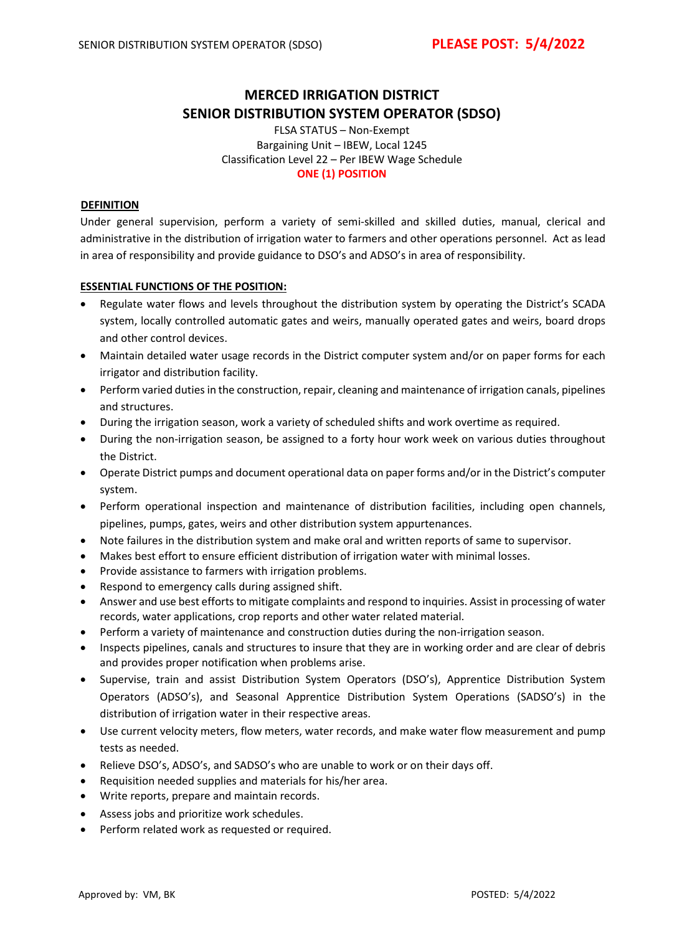# **MERCED IRRIGATION DISTRICT SENIOR DISTRIBUTION SYSTEM OPERATOR (SDSO)**

FLSA STATUS – Non-Exempt Bargaining Unit – IBEW, Local 1245 Classification Level 22 – Per IBEW Wage Schedule **ONE (1) POSITION**

### **DEFINITION**

Under general supervision, perform a variety of semi-skilled and skilled duties, manual, clerical and administrative in the distribution of irrigation water to farmers and other operations personnel. Act as lead in area of responsibility and provide guidance to DSO's and ADSO's in area of responsibility.

### **ESSENTIAL FUNCTIONS OF THE POSITION:**

- Regulate water flows and levels throughout the distribution system by operating the District's SCADA system, locally controlled automatic gates and weirs, manually operated gates and weirs, board drops and other control devices.
- Maintain detailed water usage records in the District computer system and/or on paper forms for each irrigator and distribution facility.
- Perform varied duties in the construction, repair, cleaning and maintenance of irrigation canals, pipelines and structures.
- During the irrigation season, work a variety of scheduled shifts and work overtime as required.
- During the non-irrigation season, be assigned to a forty hour work week on various duties throughout the District.
- Operate District pumps and document operational data on paper forms and/or in the District's computer system.
- Perform operational inspection and maintenance of distribution facilities, including open channels, pipelines, pumps, gates, weirs and other distribution system appurtenances.
- Note failures in the distribution system and make oral and written reports of same to supervisor.
- Makes best effort to ensure efficient distribution of irrigation water with minimal losses.
- Provide assistance to farmers with irrigation problems.
- Respond to emergency calls during assigned shift.
- Answer and use best efforts to mitigate complaints and respond to inquiries. Assist in processing of water records, water applications, crop reports and other water related material.
- Perform a variety of maintenance and construction duties during the non-irrigation season.
- Inspects pipelines, canals and structures to insure that they are in working order and are clear of debris and provides proper notification when problems arise.
- Supervise, train and assist Distribution System Operators (DSO's), Apprentice Distribution System Operators (ADSO's), and Seasonal Apprentice Distribution System Operations (SADSO's) in the distribution of irrigation water in their respective areas.
- Use current velocity meters, flow meters, water records, and make water flow measurement and pump tests as needed.
- Relieve DSO's, ADSO's, and SADSO's who are unable to work or on their days off.
- Requisition needed supplies and materials for his/her area.
- Write reports, prepare and maintain records.
- Assess jobs and prioritize work schedules.
- Perform related work as requested or required.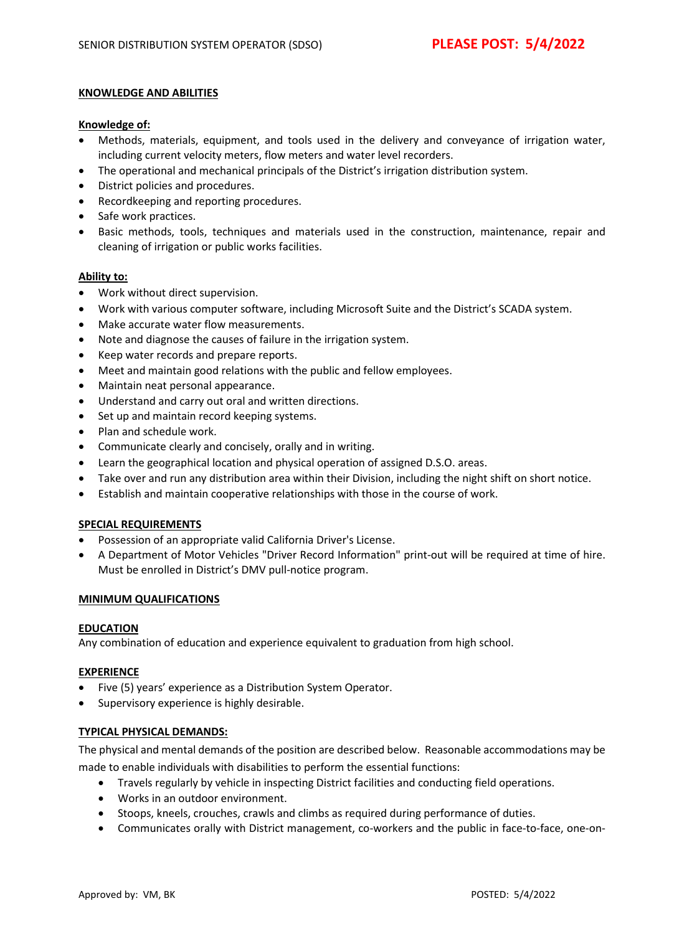### **KNOWLEDGE AND ABILITIES**

### **Knowledge of:**

- Methods, materials, equipment, and tools used in the delivery and conveyance of irrigation water, including current velocity meters, flow meters and water level recorders.
- The operational and mechanical principals of the District's irrigation distribution system.
- District policies and procedures.
- Recordkeeping and reporting procedures.
- Safe work practices.
- Basic methods, tools, techniques and materials used in the construction, maintenance, repair and cleaning of irrigation or public works facilities.

### **Ability to:**

- Work without direct supervision.
- Work with various computer software, including Microsoft Suite and the District's SCADA system.
- Make accurate water flow measurements.
- Note and diagnose the causes of failure in the irrigation system.
- Keep water records and prepare reports.
- Meet and maintain good relations with the public and fellow employees.
- Maintain neat personal appearance.
- Understand and carry out oral and written directions.
- Set up and maintain record keeping systems.
- Plan and schedule work.
- Communicate clearly and concisely, orally and in writing.
- Learn the geographical location and physical operation of assigned D.S.O. areas.
- Take over and run any distribution area within their Division, including the night shift on short notice.
- Establish and maintain cooperative relationships with those in the course of work.

## **SPECIAL REQUIREMENTS**

- Possession of an appropriate valid California Driver's License.
- A Department of Motor Vehicles "Driver Record Information" print-out will be required at time of hire. Must be enrolled in District's DMV pull-notice program.

## **MINIMUM QUALIFICATIONS**

#### **EDUCATION**

Any combination of education and experience equivalent to graduation from high school.

## **EXPERIENCE**

- Five (5) years' experience as a Distribution System Operator.
- Supervisory experience is highly desirable.

#### **TYPICAL PHYSICAL DEMANDS:**

The physical and mental demands of the position are described below. Reasonable accommodations may be made to enable individuals with disabilities to perform the essential functions:

- Travels regularly by vehicle in inspecting District facilities and conducting field operations.
- Works in an outdoor environment.
- Stoops, kneels, crouches, crawls and climbs as required during performance of duties.
- Communicates orally with District management, co-workers and the public in face-to-face, one-on-